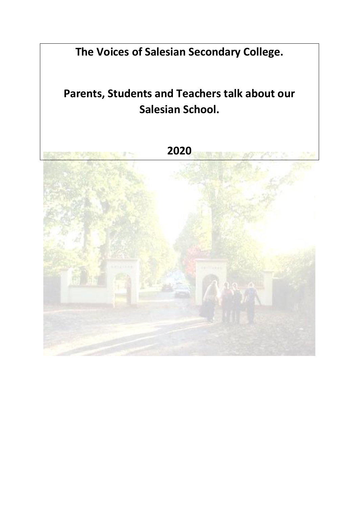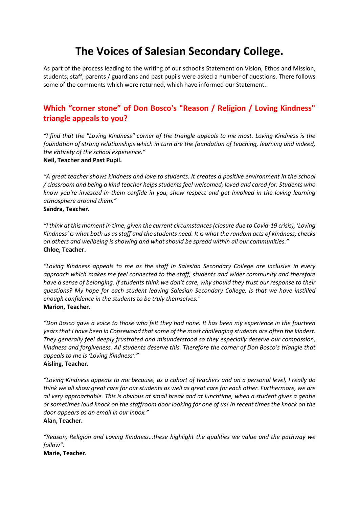# **The Voices of Salesian Secondary College.**

As part of the process leading to the writing of our school's Statement on Vision, Ethos and Mission, students, staff, parents / guardians and past pupils were asked a number of questions. There follows some of the comments which were returned, which have informed our Statement.

# **Which "corner stone" of Don Bosco's "Reason / Religion / Loving Kindness" triangle appeals to you?**

*"I find that the "Loving Kindness" corner of the triangle appeals to me most. Loving Kindness is the foundation of strong relationships which in turn are the foundation of teaching, learning and indeed, the entirety of the school experience."*  **Neil, Teacher and Past Pupil.**

*"A great teacher shows kindness and love to students. It creates a positive environment in the school / classroom and being a kind teacher helps students feel welcomed, loved and cared for. Students who know you're invested in them confide in you, show respect and get involved in the loving learning atmosphere around them."* **Sandra, Teacher.**

*"I think at this moment in time, given the current circumstances (closure due to Covid-19 crisis), 'Loving Kindness' is what both us as staff and the students need. It is what the random acts of kindness, checks on others and wellbeing is showing and what should be spread within all our communities."*  **Chloe, Teacher.**

*"Loving Kindness appeals to me as the staff in Salesian Secondary College are inclusive in every approach which makes me feel connected to the staff, students and wider community and therefore have a sense of belonging. If students think we don't care, why should they trust our response to their questions? My hope for each student leaving Salesian Secondary College, is that we have instilled enough confidence in the students to be truly themselves."*  **Marion, Teacher.**

*"Don Bosco gave a voice to those who felt they had none. It has been my experience in the fourteen years that I have been in Copsewood that some of the most challenging students are often the kindest. They generally feel deeply frustrated and misunderstood so they especially deserve our compassion, kindness and forgiveness. All students deserve this. Therefore the corner of Don Bosco's triangle that appeals to me is 'Loving Kindness'."* 

**Aisling, Teacher.**

*"Loving Kindness appeals to me because, as a cohort of teachers and on a personal level, I really do think we all show great care for our students as well as great care for each other. Furthermore, we are all very approachable. This is obvious at small break and at lunchtime, when a student gives a gentle or sometimes loud knock on the staffroom door looking for one of us! In recent times the knock on the door appears as an email in our inbox."*

#### **Alan, Teacher.**

*"Reason, Religion and Loving Kindness…these highlight the qualities we value and the pathway we follow".*

**Marie, Teacher.**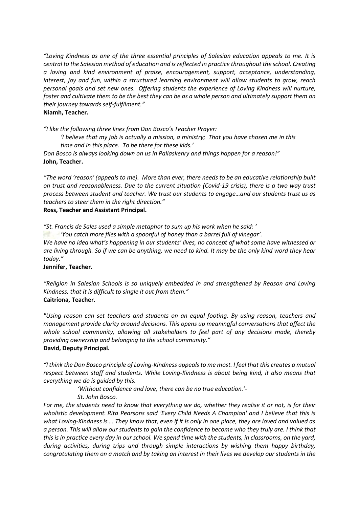*"Loving Kindness as one of the three essential principles of Salesian education appeals to me. It is central to the Salesian method of education and is reflected in practice throughout the school. Creating a loving and kind environment of praise, encouragement, support, acceptance, understanding, interest, joy and fun, within a structured learning environment will allow students to grow, reach personal goals and set new ones. Offering students the experience of Loving Kindness will nurture, foster and cultivate them to be the best they can be as a whole person and ultimately support them on their journey towards self-fulfilment."* 

#### **Niamh, Teacher.**

*"I like the following three lines from Don Bosco's Teacher Prayer:*

*'I believe that my job is actually a mission, a ministry; That you have chosen me in this time and in this place. To be there for these kids.'* 

*Don Bosco is always looking down on us in Pallaskenry and things happen for a reason!"* **John, Teacher.**

*"The word 'reason' (appeals to me). More than ever, there needs to be an educative relationship built on trust and reasonableness. Due to the current situation (Covid-19 crisis), there is a two way trust process between student and teacher. We trust our students to engage…and our students trust us as teachers to steer them in the right direction."* 

#### **Ross, Teacher and Assistant Principal.**

*"St. Francis de Sales used a simple metaphor to sum up his work when he said: '*

*'You catch more flies with a spoonful of honey than a barrel full of vinegar'.*

*We have no idea what's happening in our students' lives, no concept of what some have witnessed or are living through. So if we can be anything, we need to kind. It may be the only kind word they hear today."*

#### **Jennifer, Teacher.**

*"Religion in Salesian Schools is so uniquely embedded in and strengthened by Reason and Loving Kindness, that it is difficult to single it out from them."* **Caitríona, Teacher.**

*"Using reason can set teachers and students on an equal footing. By using reason, teachers and management provide clarity around decisions. This opens up meaningful conversations that affect the whole school community, allowing all stakeholders to feel part of any decisions made, thereby providing ownership and belonging to the school community."*  **David, Deputy Principal.**

*"I think the Don Bosco principle of Loving-Kindness appeals to me most. I feel that this creates a mutual respect between staff and students. While Loving-Kindness is about being kind, it also means that everything we do is guided by this.*

*'Without confidence and love, there can be no true education.'-*

*St. John Bosco.*

*For me, the students need to know that everything we do, whether they realise it or not, is for their wholistic development. Rita Pearsons said 'Every Child Needs A Champion' and I believe that this is what Loving-Kindness is…. They know that, even if it is only in one place, they are loved and valued as a person. This will allow our students to gain the confidence to become who they truly are. I think that this is in practice every day in our school. We spend time with the students, in classrooms, on the yard, during activities, during trips and through simple interactions by wishing them happy birthday, congratulating them on a match and by taking an interest in their lives we develop our students in the*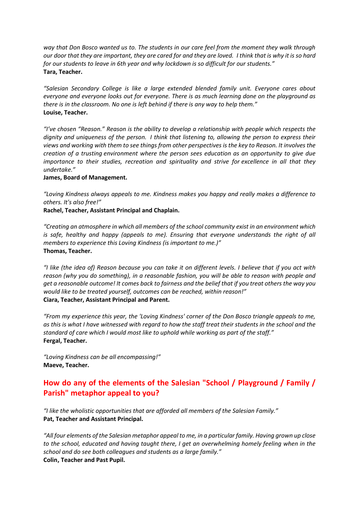*way that Don Bosco wanted us to. The students in our care feel from the moment they walk through our door that they are important, they are cared for and they are loved. I think that is why it is so hard for our students to leave in 6th year and why lockdown is so difficult for our students."*  **Tara, Teacher.**

*"Salesian Secondary College is like a large extended blended family unit. Everyone cares about everyone and everyone looks out for everyone. There is as much learning done on the playground as there is in the classroom. No one is left behind if there is any way to help them."*  **Louise, Teacher.**

*"I've chosen "Reason." Reason is the ability to develop a relationship with people which respects the dignity and uniqueness of the person. I think that listening to, allowing the person to express their views and working with them to see things from other perspectives is the key to Reason. It involves the creation of a trusting environment where the person sees education as an opportunity to give due importance to their studies, recreation and spirituality and strive for excellence in all that they undertake."*

#### **James, Board of Management.**

*"Loving Kindness always appeals to me. Kindness makes you happy and really makes a difference to others. It's also free!"* 

**Rachel, Teacher, Assistant Principal and Chaplain.**

*"Creating an atmosphere in which all members of the school community exist in an environment which is safe, healthy and happy (appeals to me). Ensuring that everyone understands the right of all members to experience this Loving Kindness (is important to me.)"* **Thomas, Teacher.** 

*"I like (the idea of) Reason because you can take it on different levels. I believe that if you act with reason (why you do something), in a reasonable fashion, you will be able to reason with people and get a reasonable outcome! It comes back to fairness and the belief that if you treat others the way you would like to be treated yourself, outcomes can be reached, within reason!"*  **Ciara, Teacher, Assistant Principal and Parent.**

*"From my experience this year, the 'Loving Kindness' corner of the Don Bosco triangle appeals to me, as this is what I have witnessed with regard to how the staff treat their students in the school and the standard of care which I would most like to uphold while working as part of the staff."*  **Fergal, Teacher.**

*"Loving Kindness can be all encompassing!"* **Maeve, Teacher.**

# **How do any of the elements of the Salesian "School / Playground / Family / Parish" metaphor appeal to you?**

*"I like the wholistic opportunities that are afforded all members of the Salesian Family."* **Pat, Teacher and Assistant Principal.**

*"All four elements of the Salesian metaphor appeal to me, in a particular family. Having grown up close to the school, educated and having taught there, I get an overwhelming homely feeling when in the school and do see both colleagues and students as a large family."*  **Colin, Teacher and Past Pupil.**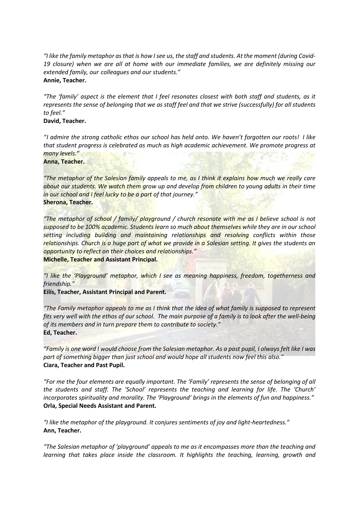*"I like the family metaphor as that is how I see us, the staff and students. At the moment (during Covid-19 closure) when we are all at home with our immediate families, we are definitely missing our extended family, our colleagues and our students."* **Annie, Teacher.**

*"The 'family' aspect is the element that I feel resonates closest with both staff and students, as it represents the sense of belonging that we as staff feel and that we strive (successfully) for all students to feel."* 

#### **David, Teacher.**

*"I admire the strong catholic ethos our school has held onto. We haven't forgotten our roots! I like that student progress is celebrated as much as high academic achievement. We promote progress at many levels."* 

**Anna, Teacher.**

*"The metaphor of the Salesian family appeals to me, as I think it explains how much we really care*  about our students. We watch them grow up and develop from children to young adults in their time *in our school and I feel lucky to be a part of that journey."*  **Sherona, Teacher.**

*"The metaphor of school / family/ playground / church resonate with me as I believe school is not supposed to be 100% academic. Students learn so much about themselves while they are in our school setting including building and maintaining relationships and resolving conflicts within those relationships. Church is a huge part of what we provide in a Salesian setting. It gives the students an opportunity to reflect on their choices and relationships."*  **Michelle, Teacher and Assistant Principal.**

*"I like the 'Playground' metaphor, which I see as meaning happiness, freedom, togetherness and friendship."*

**Eilís, Teacher, Assistant Principal and Parent.**

*"The Family metaphor appeals to me as I think that the idea of what family is supposed to represent fits very well with the ethos of our school. The main purpose of a family is to look after the well-being of its members and in turn prepare them to contribute to society."*  **Ed, Teacher.**

*"Family is one word I would choose from the Salesian metaphor. As a past pupil, I always felt like I was part of something bigger than just school and would hope all students now feel this also."*  **Ciara, Teacher and Past Pupil.**

*"For me the four elements are equally important. The 'Family' represents the sense of belonging of all the students and staff. The 'School' represents the teaching and learning for life. The 'Church' incorporates spirituality and morality. The 'Playground' brings in the elements of fun and happiness."* **Orla, Special Needs Assistant and Parent.**

*"I like the metaphor of the playground. It conjures sentiments of joy and light-heartedness."* **Ann, Teacher.**

*"The Salesian metaphor of 'playground' appeals to me as it encompasses more than the teaching and learning that takes place inside the classroom. It highlights the teaching, learning, growth and*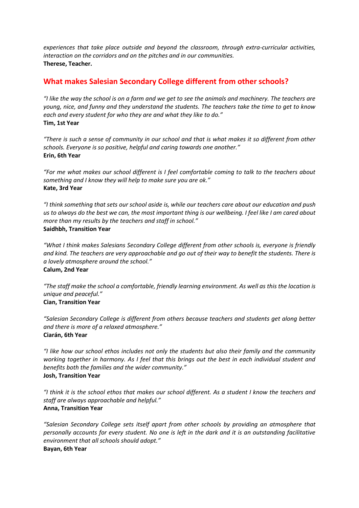*experiences that take place outside and beyond the classroom, through extra-curricular activities, interaction on the corridors and on the pitches and in our communities.*  **Therese, Teacher.**

# **What makes Salesian Secondary College different from other schools?**

*"I like the way the school is on a farm and we get to see the animals and machinery. The teachers are young, nice, and funny and they understand the students. The teachers take the time to get to know each and every student for who they are and what they like to do."* **Tim, 1st Year**

*"There is such a sense of community in our school and that is what makes it so different from other schools. Everyone is so positive, helpful and caring towards one another."* **Erin, 6th Year**

*"For me what makes our school different is I feel comfortable coming to talk to the teachers about something and I know they will help to make sure you are ok."* **Kate, 3rd Year**

*"I think something that sets our school aside is, while our teachers care about our education and push us to always do the best we can, the most important thing is our wellbeing. I feel like I am cared about more than my results by the teachers and staff in school."* **Saidhbh, Transition Year**

*"What I think makes Salesians Secondary College different from other schools is, everyone is friendly and kind. The teachers are very approachable and go out of their way to benefit the students. There is a lovely atmosphere around the school."* **Calum, 2nd Year**

*"The staff make the school a comfortable, friendly learning environment. As well as this the location is unique and peaceful."* **Cian, Transition Year**

*"Salesian Secondary College is different from others because teachers and students get along better and there is more of a relaxed atmosphere."* **Ciarán, 6th Year**

*"I like how our school ethos includes not only the students but also their family and the community working together in harmony. As I feel that this brings out the best in each individual student and benefits both the families and the wider community."* **Josh, Transition Year**

*"I think it is the school ethos that makes our school different. As a student I know the teachers and staff are always approachable and helpful."* **Anna, Transition Year**

*"Salesian Secondary College sets itself apart from other schools by providing an atmosphere that personally accounts for every student. No one is left in the dark and it is an outstanding facilitative environment that all schools should adopt."* **Bayan, 6th Year**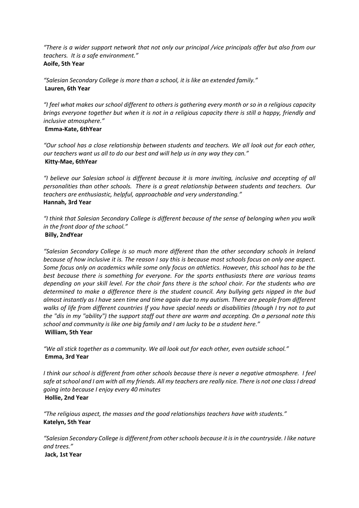*"There is a wider support network that not only our principal /vice principals offer but also from our teachers. It is a safe environment."* **Aoife, 5th Year**

*"Salesian Secondary College is more than a school, it is like an extended family."* **Lauren, 6th Year**

*"I feel what makes our school different to others is gathering every month or so in a religious capacity brings everyone together but when it is not in a religious capacity there is still a happy, friendly and inclusive atmosphere."*

## **Emma-Kate, 6thYear**

*"Our school has a close relationship between students and teachers. We all look out for each other, our teachers want us all to do our best and will help us in any way they can."* **Kitty-Mae, 6thYear**

*"I believe our Salesian school is different because it is more inviting, inclusive and accepting of all personalities than other schools. There is a great relationship between students and teachers. Our teachers are enthusiastic, helpful, approachable and very understanding."* **Hannah, 3rd Year**

*"I think that Salesian Secondary College is different because of the sense of belonging when you walk in the front door of the school."*

#### **Billy, 2ndYear**

*"Salesian Secondary College is so much more different than the other secondary schools in Ireland because of how inclusive it is. The reason I say this is because most schools focus on only one aspect. Some focus only on academics while some only focus on athletics. However, this school has to be the best because there is something for everyone. For the sports enthusiasts there are various teams depending on your skill level. For the choir fans there is the school choir. For the students who are determined to make a difference there is the student council. Any bullying gets nipped in the bud almost instantly as I have seen time and time again due to my autism. There are people from different walks of life from different countries If you have special needs or disabilities (though I try not to put the "dis in my "ability") the support staff out there are warm and accepting. On a personal note this school and community is like one big family and I am lucky to be a student here."* **William, 5th Year**

*"We all stick together as a community. We all look out for each other, even outside school."* **Emma, 3rd Year**

*I think our school is different from other schools because there is never a negative atmosphere. I feel safe at school and I am with all my friends. All my teachers are really nice. There is not one class I dread going into because I enjoy every 40 minutes* **Hollie, 2nd Year**

*"The religious aspect, the masses and the good relationships teachers have with students."* **Katelyn, 5th Year**

*"Salesian Secondary College is different from other schools because it is in the countryside. I like nature and trees."*

**Jack, 1st Year**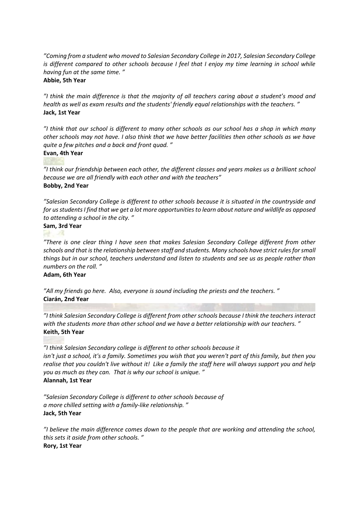*"Coming from a student who moved to Salesian Secondary College in 2017, Salesian Secondary College is different compared to other schools because I feel that I enjoy my time learning in school while having fun at the same time. "*

#### **Abbie, 5th Year**

*"I think the main difference is that the majority of all teachers caring about a student's mood and health as well as exam results and the students' friendly equal relationships with the teachers. "* **Jack, 1st Year**

*"I think that our school is different to many other schools as our school has a shop in which many other schools may not have. I also think that we have better facilities then other schools as we have quite a few pitches and a back and front quad. "*

# **Evan, 4th Year**

*"I think our friendship between each other, the different classes and years makes us a brilliant school because we are all friendly with each other and with the teachers"* **Bobby, 2nd Year**

*"Salesian Secondary College is different to other schools because it is situated in the countryside and for us students I find that we get a lot more opportunities to learn about nature and wildlife as opposed to attending a school in the city. "*

# **Sam, 3rd Year**

*"There is one clear thing I have seen that makes Salesian Secondary College different from other schools and that is the relationship between staff and students. Many schools have strict rules for small things but in our school, teachers understand and listen to students and see us as people rather than numbers on the roll. "*

#### **Adam, 6th Year**

*"All my friends go here. Also, everyone is sound including the priests and the teachers. "* **Ciarán, 2nd Year**

*"I think Salesian Secondary College is different from other schools because I think the teachers interact with the students more than other school and we have a better relationship with our teachers. "* **Keith, 5th Year**

*"I think Salesian Secondary college is different to other schools because it isn't just a school, it's a family. Sometimes you wish that you weren't part of this family, but then you realise that you couldn't live without it! Like a family the staff here will always support you and help you as much as they can. That is why our school is unique. "* **Alannah, 1st Year**

*"Salesian Secondary College is different to other schools because of a more chilled setting with a family-like relationship. "* **Jack, 5th Year**

*"I believe the main difference comes down to the people that are working and attending the school, this sets it aside from other schools. "* **Rory, 1st Year**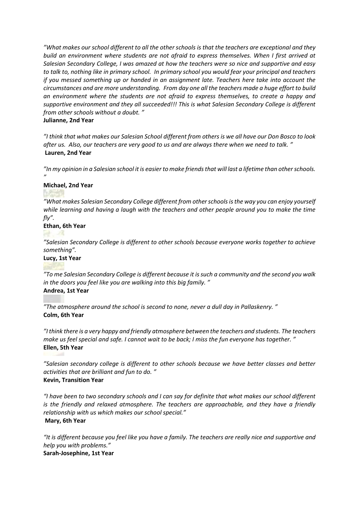*"What makes our school different to all the other schools is that the teachers are exceptional and they build an environment where students are not afraid to express themselves. When I first arrived at Salesian Secondary College, I was amazed at how the teachers were so nice and supportive and easy to talk to, nothing like in primary school. In primary school you would fear your principal and teachers if you messed something up or handed in an assignment late. Teachers here take into account the circumstances and are more understanding. From day one all the teachers made a huge effort to build an environment where the students are not afraid to express themselves, to create a happy and supportive environment and they all succeeded!!! This is what Salesian Secondary College is different from other schools without a doubt. "*

#### **Julianne, 2nd Year**

*"I think that what makes our Salesian School different from others is we all have our Don Bosco to look after us. Also, our teachers are very good to us and are always there when we need to talk. "* **Lauren, 2nd Year**

*"In my opinion in a Salesian school it is easier to make friends that will last a lifetime than other schools. "*

## **Michael, 2nd Year**

*"What makes Salesian Secondary College different from other schools is the way you can enjoy yourself while learning and having a laugh with the teachers and other people around you to make the time fly".*

# **Ethan, 6th Year**

*"Salesian Secondary College is different to other schools because everyone works together to achieve something".*

#### **Lucy, 1st Year**

*"To me Salesian Secondary College is different because it is such a community and the second you walk in the doors you feel like you are walking into this big family. "* **Andrea, 1st Year**

*"The atmosphere around the school is second to none, never a dull day in Pallaskenry. "* **Colm, 6th Year**

*"I think there is a very happy and friendly atmosphere between the teachers and students. The teachers make us feel special and safe. I cannot wait to be back; I miss the fun everyone has together. "* **Ellen, 5th Year**

*"Salesian secondary college is different to other schools because we have better classes and better activities that are brilliant and fun to do. "* **Kevin, Transition Year**

*"I have been to two secondary schools and I can say for definite that what makes our school different is the friendly and relaxed atmosphere. The teachers are approachable, and they have a friendly relationship with us which makes our school special."* **Mary, 6th Year**

*"It is different because you feel like you have a family. The teachers are really nice and supportive and help you with problems."* **Sarah-Josephine, 1st Year**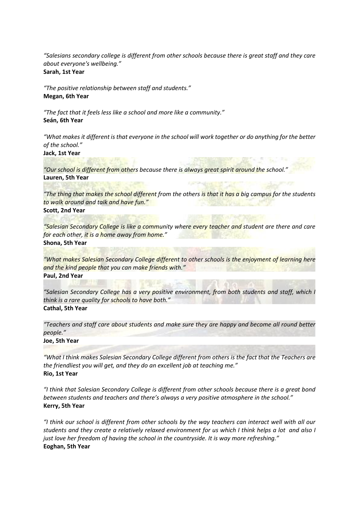*"Salesians secondary college is different from other schools because there is great staff and they care about everyone's wellbeing."* **Sarah, 1st Year**

*"The positive relationship between staff and students."* **Megan, 6th Year**

*"The fact that it feels less like a school and more like a community."* **Seán, 6th Year**

*"What makes it different is that everyone in the school will work together or do anything for the better of the school."*

**Jack, 1st Year**

*"Our school is different from others because there is always great spirit around the school."* **Lauren, 5th Year**

*"The thing that makes the school different from the others is that it has a big campus for the students to walk around and talk and have fun."* **Scott, 2nd Year**

*"Salesian Secondary College is like a community where every teacher and student are there and care for each other, it is a home away from home."* **Shona, 5th Year**

*"What makes Salesian Secondary College different to other schools is the enjoyment of learning here and the kind people that you can make friends with."* **Paul, 2nd Year**

*"Salesian Secondary College has a very positive environment, from both students and staff, which I think is a rare quality for schools to have both."* **Cathal, 5th Year**

*"Teachers and staff care about students and make sure they are happy and become all round better people."*

**Joe, 5th Year**

*"What I think makes Salesian Secondary College different from others is the fact that the Teachers are the friendliest you will get, and they do an excellent job at teaching me."* **Rio, 1st Year**

*"I think that Salesian Secondary College is different from other schools because there is a great bond between students and teachers and there's always a very positive atmosphere in the school."* **Kerry, 5th Year**

*"I think our school is different from other schools by the way teachers can interact well with all our students and they create a relatively relaxed environment for us which I think helps a lot and also I just love her freedom of having the school in the countryside. It is way more refreshing."* **Eoghan, 5th Year**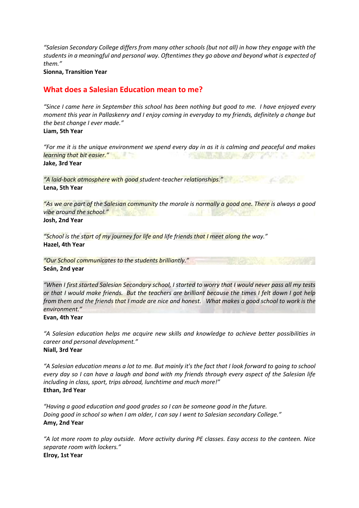*"Salesian Secondary College differs from many other schools (but not all) in how they engage with the students in a meaningful and personal way. Oftentimes they go above and beyond what is expected of them."*

#### **Sionna, Transition Year**

# **What does a Salesian Education mean to me?**

*"Since I came here in September this school has been nothing but good to me. I have enjoyed every moment this year in Pallaskenry and I enjoy coming in everyday to my friends, definitely a change but the best change I ever made."*

**Liam, 5th Year**

*"For me it is the unique environment we spend every day in as it is calming and peaceful and makes learning that bit easier."* 7 **Jake, 3rd Year**

*"A laid-back atmosphere with good student-teacher relationships."* **Lena, 5th Year**

*"As we are part of the Salesian community the morale is normally a good one. There is always a good vibe around the school."* **Josh, 2nd Year**

*"School is the start of my journey for life and life friends that I meet along the way."* **Hazel, 4th Year**

*"Our School communicates to the students brilliantly."* **Seán, 2nd year**

*"When I first started Salesian Secondary school, I started to worry that I would never pass all my tests or that I would make friends. But the teachers are brilliant because the times I felt down I got help from them and the friends that I made are nice and honest. What makes a good school to work is the environment."*

#### **Evan, 4th Year**

*"A Salesian education helps me acquire new skills and knowledge to achieve better possibilities in career and personal development."* **Niall, 3rd Year**

*"A Salesian education means a lot to me. But mainly it's the fact that I look forward to going to school every day so I can have a laugh and bond with my friends through every aspect of the Salesian life including in class, sport, trips abroad, lunchtime and much more!"* **Ethan, 3rd Year**

*"Having a good education and good grades so I can be someone good in the future. Doing good in school so when I am older, I can say I went to Salesian secondary College."* **Amy, 2nd Year**

*"A lot more room to play outside. More activity during PE classes. Easy access to the canteen. Nice separate room with lockers."* **Elroy, 1st Year**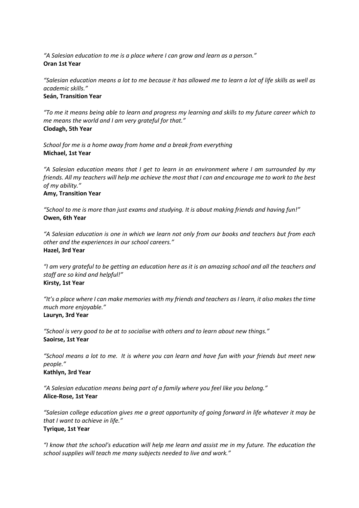*"A Salesian education to me is a place where I can grow and learn as a person."* **Oran 1st Year**

*"Salesian education means a lot to me because it has allowed me to learn a lot of life skills as well as academic skills."* **Seán, Transition Year**

*"To me it means being able to learn and progress my learning and skills to my future career which to me means the world and I am very grateful for that."* **Clodagh, 5th Year**

*School for me is a home away from home and a break from everything* **Michael, 1st Year**

*"A Salesian education means that I get to learn in an environment where I am surrounded by my friends. All my teachers will help me achieve the most that I can and encourage me to work to the best of my ability."*

# **Amy, Transition Year**

*"School to me is more than just exams and studying. It is about making friends and having fun!"* **Owen, 6th Year**

*"A Salesian education is one in which we learn not only from our books and teachers but from each other and the experiences in our school careers."* **Hazel, 3rd Year**

*"I am very grateful to be getting an education here as it is an amazing school and all the teachers and staff are so kind and helpful!"* **Kirsty, 1st Year**

*"It's a place where I can make memories with my friends and teachers as I learn, it also makes the time much more enjoyable."* **Lauryn, 3rd Year**

*"School is very good to be at to socialise with others and to learn about new things."* **Saoirse, 1st Year**

*"School means a lot to me. It is where you can learn and have fun with your friends but meet new people."*

## **Kathlyn, 3rd Year**

*"A Salesian education means being part of a family where you feel like you belong."* **Alice-Rose, 1st Year**

*"Salesian college education gives me a great opportunity of going forward in life whatever it may be that I want to achieve in life."* **Tyrique, 1st Year**

*"I know that the school's education will help me learn and assist me in my future. The education the school supplies will teach me many subjects needed to live and work."*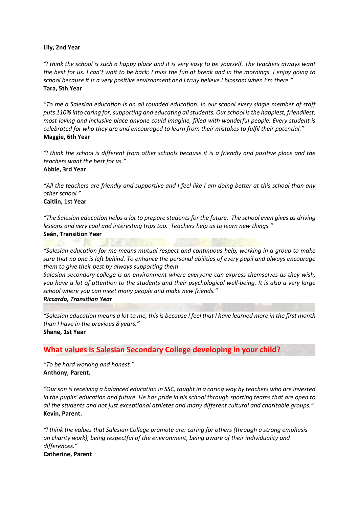#### **Lily, 2nd Year**

*"I think the school is such a happy place and it is very easy to be yourself. The teachers always want the best for us. I can't wait to be back; I miss the fun at break and in the mornings. I enjoy going to school because it is a very positive environment and I truly believe I blossom when I'm there."* **Tara, 5th Year**

*"To me a Salesian education is an all rounded education. In our school every single member of staff puts 110% into caring for, supporting and educating all students. Our school is the happiest, friendliest, most loving and inclusive place anyone could imagine, filled with wonderful people. Every student is celebrated for who they are and encouraged to learn from their mistakes to fulfil their potential."* **Maggie, 6th Year**

*"I think the school is different from other schools because it is a friendly and positive place and the teachers want the best for us."* **Abbie, 3rd Year**

*"All the teachers are friendly and supportive and I feel like I am doing better at this school than any other school."*

#### **Caitlin, 1st Year**

*"The Salesian education helps a lot to prepare students for the future. The school even gives us driving lessons and very cool and interesting trips too. Teachers help us to learn new things."*  **Seán, Transition Year**

*"Salesian education for me means mutual respect and continuous help, working in a group to make sure that no one is left behind. To enhance the personal abilities of every pupil and always encourage them to give their best by always supporting them* 

*Salesian secondary college is an environment where everyone can express themselves as they wish, you have a lot of attention to the students and their psychological well-being. It is also a very large school where you can meet many people and make new friends."* 

#### *Riccardo, Transition Year*

*"Salesian education means a lot to me, this is because I feel that I have learned more in the first month than I have in the previous 8 years."* **Shane, 1st Year**

## **What values is Salesian Secondary College developing in your child?**

*"To be hard working and honest."*  **Anthony, Parent.**

*"Our son is receiving a balanced education in SSC, taught in a caring way by teachers who are invested in the pupils' education and future. He has pride in his school through sporting teams that are open to all the students and not just exceptional athletes and many different cultural and charitable groups."* **Kevin, Parent.**

*"I think the values that Salesian College promote are: caring for others (through a strong emphasis on charity work), being respectful of the environment, being aware of their individuality and differences."*

**Catherine, Parent**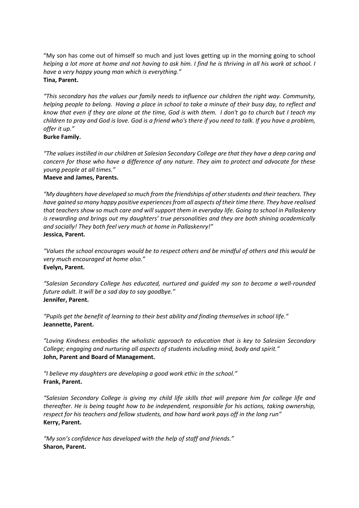"My son has come out of himself so much and just loves getting up in the morning going to school *helping a lot more at home and not having to ask him. I find he is thriving in all his work at school. I have a very happy young man which is everything."*  **Tina, Parent.**

*"This secondary has the values our family needs to influence our children the right way. Community, helping people to belong. Having a place in school to take a minute of their busy day, to reflect and know that even if they are alone at the time, God is with them. I don't go to church but I teach my children to pray and God is love. God is a friend who's there if you need to talk. If you have a problem, offer it up."* 

#### **Burke Family.**

*"The values instilled in our children at Salesian Secondary College are that they have a deep caring and concern for those who have a difference of any nature. They aim to protect and advocate for these young people at all times."*

#### **Maeve and James, Parents.**

*"My daughters have developed so much from the friendships of other students and their teachers. They have gained so many happy positive experiences from all aspects of their time there. They have realised that teachers show so much care and will support them in everyday life. Going to school in Pallaskenry is rewarding and brings out my daughters' true personalities and they are both shining academically and socially! They both feel very much at home in Pallaskenry!"*  **Jessica, Parent.**

*"Values the school encourages would be to respect others and be mindful of others and this would be very much encouraged at home also."*  **Evelyn, Parent.**

*"Salesian Secondary College has educated, nurtured and guided my son to become a well-rounded future adult. It will be a sad day to say goodbye."* **Jennifer, Parent.**

*"Pupils get the benefit of learning to their best ability and finding themselves in school life."*  **Jeannette, Parent.**

*"Loving Kindness embodies the wholistic approach to education that is key to Salesian Secondary College; engaging and nurturing all aspects of students including mind, body and spirit."* **John, Parent and Board of Management.**

*"I believe my daughters are developing a good work ethic in the school."*  **Frank, Parent.**

*"Salesian Secondary College is giving my child life skills that will prepare him for college life and thereafter. He is being taught how to be independent, responsible for his actions, taking ownership, respect for his teachers and fellow students, and how hard work pays off in the long run"*  **Kerry, Parent.**

*"My son's confidence has developed with the help of staff and friends."*  **Sharon, Parent.**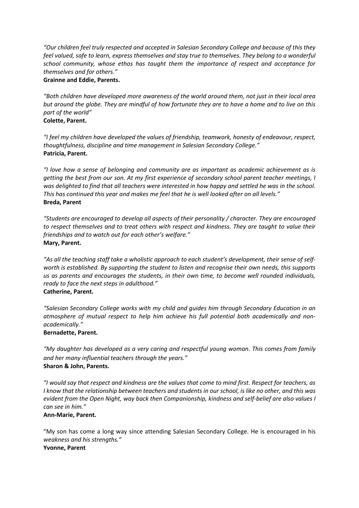*"Our children feel truly respected and accepted in Salesian Secondary College and because of this they feel valued, safe to learn, express themselves and stay true to themselves. They belong to a wonderful school community, whose ethos has taught them the importance of respect and acceptance for themselves and for others."*

**Grainne and Eddie, Parents.**

*"Both children have developed more awareness of the world around them, not just in their local area but around the globe. They are mindful of how fortunate they are to have a home and to live on this part of the world"*

#### **Colette, Parent.**

*"I feel my children have developed the values of friendship, teamwork, honesty of endeavour, respect, thoughtfulness, discipline and time management in Salesian Secondary College."* **Patricia, Parent.**

*"I love how a sense of belonging and community are as important as academic achievement as is getting the best from our son. At my first experience of secondary school parent teacher meetings, I was delighted to find that all teachers were interested in how happy and settled he was in the school. This has continued this year and makes me feel that he is well looked after on all levels."* **Breda, Parent**

*"Students are encouraged to develop all aspects of their personality / character. They are encouraged to respect themselves and to treat others with respect and kindness. They are taught to value their friendships and to watch out for each other's welfare."*  **Mary, Parent.**

*"As all the teaching staff take a wholistic approach to each student's development, their sense of selfworth is established. By supporting the student to listen and recognise their own needs, this supports us as parents and encourages the students, in their own time, to become well rounded individuals, ready to face the next steps in adulthood."*  **Catherine, Parent.**

*"Salesian Secondary College works with my child and guides him through Secondary Education in an atmosphere of mutual respect to help him achieve his full potential both academically and nonacademically."* 

#### **Bernadette, Parent.**

*"My daughter has developed as a very caring and respectful young woman. This comes from family and her many influential teachers through the years."* **Sharon & John, Parents.**

*"I would say that respect and kindness are the values that come to mind first. Respect for teachers, as I know that the relationship between teachers and students in our school, is like no other, and this was evident from the Open Night, way back then Companionship, kindness and self-belief are also values I can see in him."*

#### **Ann-Marie, Parent.**

"My son has come a long way since attending Salesian Secondary College. He is encouraged in his *weakness and his strengths."*  **Yvonne, Parent**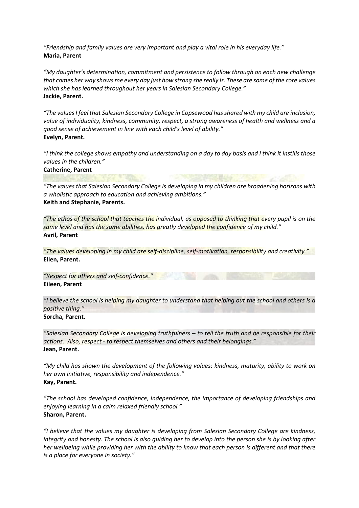*"Friendship and family values are very important and play a vital role in his everyday life."* **Maria, Parent**

"My daughter's determination, commitment and persistence to follow through on each new challenge *that comes her way shows me every day just how strong she really is. These are some of the core values which she has learned throughout her years in Salesian Secondary College."*  **Jackie, Parent.**

*"The values I feel that Salesian Secondary College in Copsewood has shared with my child are inclusion, value of individuality, kindness, community, respect, a strong awareness of health and wellness and a good sense of achievement in line with each child's level of ability."*  **Evelyn, Parent.**

*"I think the college shows empathy and understanding on a day to day basis and I think it instills those values in the children."* 

**Catherine, Parent**

*"The values that Salesian Secondary College is developing in my children are broadening horizons with a wholistic approach to education and achieving ambitions."* **Keith and Stephanie, Parents.**

*"The ethos of the school that teaches the individual, as opposed to thinking that every pupil is on the same level and has the same abilities, has greatly developed the confidence of my child."*  **Avril, Parent**

*"The values developing in my child are self-discipline, self-motivation, responsibility and creativity."*  **Ellen, Parent.**

*"Respect for others and self-confidence."*  **Eileen, Parent**

*"I believe the school is helping my daughter to understand that helping out the school and others is a positive thing."* **Sorcha, Parent.**

*"Salesian Secondary College is developing truthfulness – to tell the truth and be responsible for their actions. Also, respect - to respect themselves and others and their belongings."*  **Jean, Parent.**

*"My child has shown the development of the following values: kindness, maturity, ability to work on her own initiative, responsibility and independence."*  **Kay, Parent.**

*"The school has developed confidence, independence, the importance of developing friendships and enjoying learning in a calm relaxed friendly school."*  **Sharon, Parent.**

*"I believe that the values my daughter is developing from Salesian Secondary College are kindness, integrity and honesty. The school is also guiding her to develop into the person she is by looking after her wellbeing while providing her with the ability to know that each person is different and that there is a place for everyone in society."*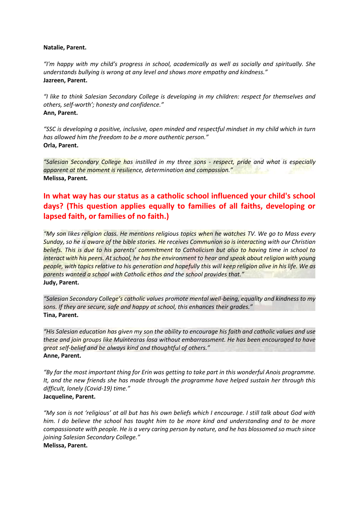#### **Natalie, Parent.**

*"I'm happy with my child's progress in school, academically as well as socially and spiritually. She understands bullying is wrong at any level and shows more empathy and kindness."*  **Jazreen, Parent.**

*"I like to think Salesian Secondary College is developing in my children: respect for themselves and others, self-worth'; honesty and confidence."*  **Ann, Parent.**

*"SSC is developing a positive, inclusive, open minded and respectful mindset in my child which in turn has allowed him the freedom to be a more authentic person."* **Orla, Parent.**

*"Salesian Secondary College has instilled in my three sons - respect, pride and what is especially apparent at the moment is resilience, determination and compassion."* **Melissa, Parent.**

# **In what way has our status as a catholic school influenced your child's school days? (This question applies equally to families of all faiths, developing or lapsed faith, or families of no faith.)**

*"My son likes religion class. He mentions religious topics when he watches TV. We go to Mass every Sunday, so he is aware of the bible stories. He receives Communion so is interacting with our Christian beliefs. This is due to his parents' commitment to Catholicism but also to having time in school to interact with his peers. At school, he has the environment to hear and speak about religion with young people, with topics relative to his generation and hopefully this will keep religion alive in his life. We as parents wanted a school with Catholic ethos and the school provides that."*  **Judy, Parent.**

*"Salesian Secondary College's catholic values promote mental well-being, equality and kindness to my sons. If they are secure, safe and happy at school, this enhances their grades."* **Tina, Parent.**

*"His Salesian education has given my son the ability to encourage his faith and catholic values and use these and join groups like Muintearas Íosa without embarrassment. He has been encouraged to have great self-belief and be always kind and thoughtful of others."*  **Anne, Parent.**

*"By far the most important thing for Erin was getting to take part in this wonderful Anois programme. It, and the new friends she has made through the programme have helped sustain her through this difficult, lonely (Covid-19) time."* **Jacqueline, Parent.**

*"My son is not 'religious' at all but has his own beliefs which I encourage. I still talk about God with him. I do believe the school has taught him to be more kind and understanding and to be more compassionate with people. He is a very caring person by nature, and he has blossomed so much since joining Salesian Secondary College."*  **Melissa, Parent.**